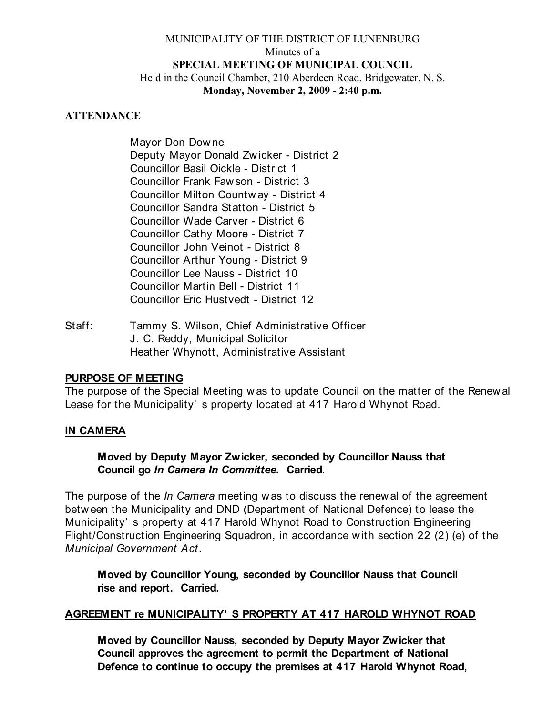## MUNICIPALITY OF THE DISTRICT OF LUNENBURG Minutes of a **SPECIAL MEETING OF MUNICIPAL COUNCIL** Held in the Council Chamber, 210 Aberdeen Road, Bridgewater, N. S. **Monday, November 2, 2009 - 2:40 p.m.**

#### **ATTENDANCE**

Mayor Don Dow ne Deputy Mayor Donald Zw icker - District 2 Councillor Basil Oickle - District 1 Councillor Frank Faw son - District 3 Councillor Milton Countw ay - District 4 Councillor Sandra Statton - District 5 Councillor Wade Carver - District 6 Councillor Cathy Moore - District 7 Councillor John Veinot - District 8 Councillor Arthur Young - District 9 Councillor Lee Nauss - District 10 Councillor Martin Bell - District 11 Councillor Eric Hustvedt - District 12

Staff: Tammy S. Wilson, Chief Administrative Officer J. C. Reddy, Municipal Solicitor Heather Whynott, Administrative Assistant

## **PURPOSE OF MEETING**

The purpose of the Special Meeting w as to update Council on the matter of the Renew al Lease for the Municipality' s property located at 417 Harold Whynot Road.

#### **IN CAMERA**

**Moved by Deputy Mayor Zwicker, seconded by Councillor Nauss that Council go** *In Camera In Committee***. Carried**.

The purpose of the *In Camera* meeting w as to discuss the renew al of the agreement betw een the Municipality and DND (Department of National Defence) to lease the Municipality' s property at 417 Harold Whynot Road to Construction Engineering Flight/Construction Engineering Squadron, in accordance w ith section 22 (2) (e) of the *Municipal Government Act*.

**Moved by Councillor Young, seconded by Councillor Nauss that Council rise and report. Carried.**

## **AGREEMENT re MUNICIPALITY' S PROPERTY AT 417 HAROLD WHYNOT ROAD**

**Moved by Councillor Nauss, seconded by Deputy Mayor Zwicker that Council approves the agreement to permit the Department of National Defence to continue to occupy the premises at 417 Harold Whynot Road,**